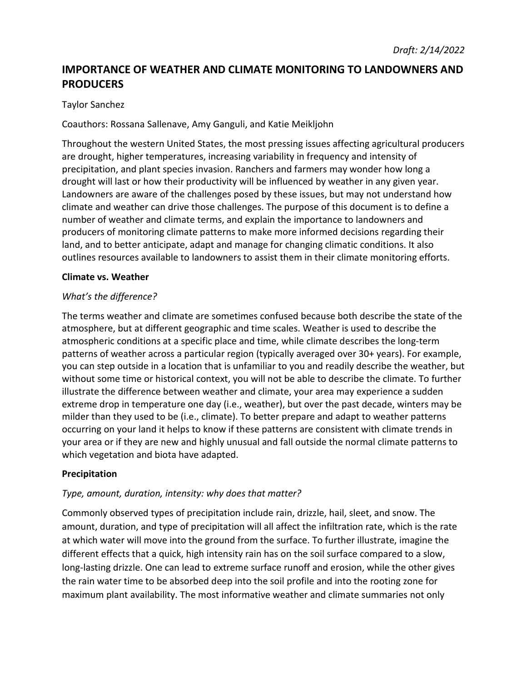# **IMPORTANCE OF WEATHER AND CLIMATE MONITORING TO LANDOWNERS AND PRODUCERS**

## Taylor Sanchez

Coauthors: Rossana Sallenave, Amy Ganguli, and Katie Meikljohn

Throughout the western United States, the most pressing issues affecting agricultural producers are drought, higher temperatures, increasing variability in frequency and intensity of precipitation, and plant species invasion. Ranchers and farmers may wonder how long a drought will last or how their productivity will be influenced by weather in any given year. Landowners are aware of the challenges posed by these issues, but may not understand how climate and weather can drive those challenges. The purpose of this document is to define a number of weather and climate terms, and explain the importance to landowners and producers of monitoring climate patterns to make more informed decisions regarding their land, and to better anticipate, adapt and manage for changing climatic conditions. It also outlines resources available to landowners to assist them in their climate monitoring efforts.

#### **Climate vs. Weather**

## *What's the difference?*

The terms weather and climate are sometimes confused because both describe the state of the atmosphere, but at different geographic and time scales. Weather is used to describe the atmospheric conditions at a specific place and time, while climate describes the long-term patterns of weather across a particular region (typically averaged over 30+ years). For example, you can step outside in a location that is unfamiliar to you and readily describe the weather, but without some time or historical context, you will not be able to describe the climate. To further illustrate the difference between weather and climate, your area may experience a sudden extreme drop in temperature one day (i.e., weather), but over the past decade, winters may be milder than they used to be (i.e., climate). To better prepare and adapt to weather patterns occurring on your land it helps to know if these patterns are consistent with climate trends in your area or if they are new and highly unusual and fall outside the normal climate patterns to which vegetation and biota have adapted.

#### **Precipitation**

#### *Type, amount, duration, intensity: why does that matter?*

Commonly observed types of precipitation include rain, drizzle, hail, sleet, and snow. The amount, duration, and type of precipitation will all affect the infiltration rate, which is the rate at which water will move into the ground from the surface. To further illustrate, imagine the different effects that a quick, high intensity rain has on the soil surface compared to a slow, long-lasting drizzle. One can lead to extreme surface runoff and erosion, while the other gives the rain water time to be absorbed deep into the soil profile and into the rooting zone for maximum plant availability. The most informative weather and climate summaries not only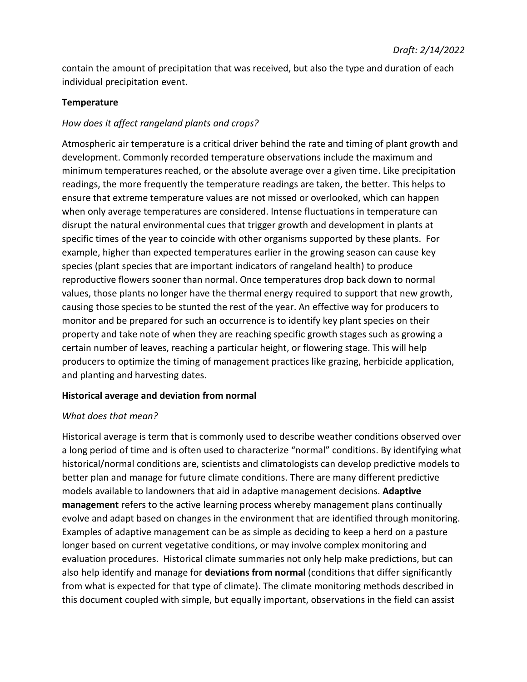contain the amount of precipitation that was received, but also the type and duration of each individual precipitation event.

#### **Temperature**

## *How does it affect rangeland plants and crops?*

Atmospheric air temperature is a critical driver behind the rate and timing of plant growth and development. Commonly recorded temperature observations include the maximum and minimum temperatures reached, or the absolute average over a given time. Like precipitation readings, the more frequently the temperature readings are taken, the better. This helps to ensure that extreme temperature values are not missed or overlooked, which can happen when only average temperatures are considered. Intense fluctuations in temperature can disrupt the natural environmental cues that trigger growth and development in plants at specific times of the year to coincide with other organisms supported by these plants. For example, higher than expected temperatures earlier in the growing season can cause key species (plant species that are important indicators of rangeland health) to produce reproductive flowers sooner than normal. Once temperatures drop back down to normal values, those plants no longer have the thermal energy required to support that new growth, causing those species to be stunted the rest of the year. An effective way for producers to monitor and be prepared for such an occurrence is to identify key plant species on their property and take note of when they are reaching specific growth stages such as growing a certain number of leaves, reaching a particular height, or flowering stage. This will help producers to optimize the timing of management practices like grazing, herbicide application, and planting and harvesting dates.

#### **Historical average and deviation from normal**

#### *What does that mean?*

Historical average is term that is commonly used to describe weather conditions observed over a long period of time and is often used to characterize "normal" conditions. By identifying what historical/normal conditions are, scientists and climatologists can develop predictive models to better plan and manage for future climate conditions. There are many different predictive models available to landowners that aid in adaptive management decisions. **Adaptive management** refers to the active learning process whereby management plans continually evolve and adapt based on changes in the environment that are identified through monitoring. Examples of adaptive management can be as simple as deciding to keep a herd on a pasture longer based on current vegetative conditions, or may involve complex monitoring and evaluation procedures. Historical climate summaries not only help make predictions, but can also help identify and manage for **deviations from normal** (conditions that differ significantly from what is expected for that type of climate). The climate monitoring methods described in this document coupled with simple, but equally important, observations in the field can assist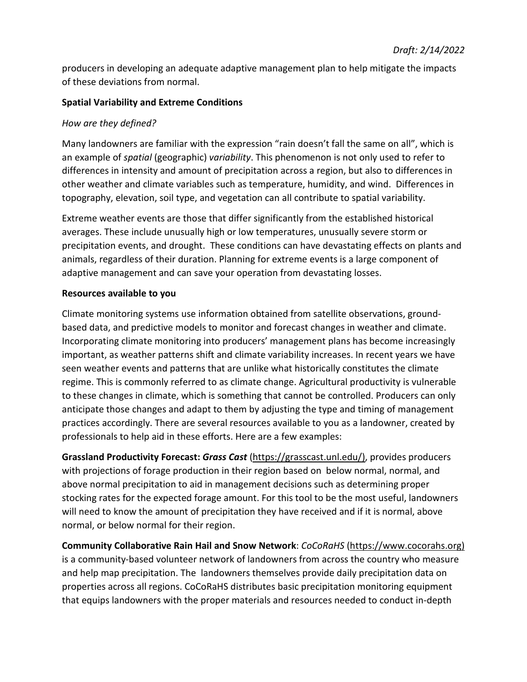producers in developing an adequate adaptive management plan to help mitigate the impacts of these deviations from normal.

## **Spatial Variability and Extreme Conditions**

## *How are they defined?*

Many landowners are familiar with the expression "rain doesn't fall the same on all", which is an example of *spatial* (geographic) *variability*. This phenomenon is not only used to refer to differences in intensity and amount of precipitation across a region, but also to differences in other weather and climate variables such as temperature, humidity, and wind. Differences in topography, elevation, soil type, and vegetation can all contribute to spatial variability.

Extreme weather events are those that differ significantly from the established historical averages. These include unusually high or low temperatures, unusually severe storm or precipitation events, and drought. These conditions can have devastating effects on plants and animals, regardless of their duration. Planning for extreme events is a large component of adaptive management and can save your operation from devastating losses.

## **Resources available to you**

Climate monitoring systems use information obtained from satellite observations, groundbased data, and predictive models to monitor and forecast changes in weather and climate. Incorporating climate monitoring into producers' management plans has become increasingly important, as weather patterns shift and climate variability increases. In recent years we have seen weather events and patterns that are unlike what historically constitutes the climate regime. This is commonly referred to as climate change. Agricultural productivity is vulnerable to these changes in climate, which is something that cannot be controlled. Producers can only anticipate those changes and adapt to them by adjusting the type and timing of management practices accordingly. There are several resources available to you as a landowner, created by professionals to help aid in these efforts. Here are a few examples:

**Grassland Productivity Forecast:** *Grass Cast* [\(https://grasscast.unl.edu/\)](https://grasscast.unl.edu/), provides producers with projections of forage production in their region based on below normal, normal, and above normal precipitation to aid in management decisions such as determining proper stocking rates for the expected forage amount. For this tool to be the most useful, landowners will need to know the amount of precipitation they have received and if it is normal, above normal, or below normal for their region.

**Community Collaborative Rain Hail and Snow Network**: *CoCoRaHS* [\(https://www.cocorahs.org\)](https://www.cocorahs.org/) is a community-based volunteer network of landowners from across the country who measure and help map precipitation. The landowners themselves provide daily precipitation data on properties across all regions. CoCoRaHS distributes basic precipitation monitoring equipment that equips landowners with the proper materials and resources needed to conduct in-depth